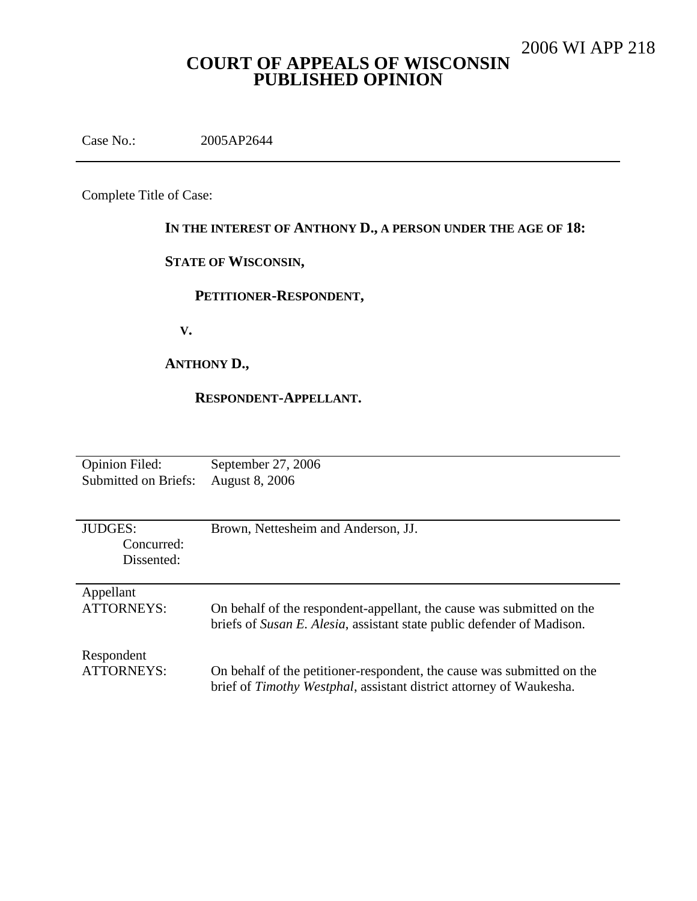# **COURT OF APPEALS OF WISCONSIN PUBLISHED OPINION**

Case No.: 2005AP2644

Complete Title of Case:

## **IN THE INTEREST OF ANTHONY D., A PERSON UNDER THE AGE OF 18:**

## **STATE OF WISCONSIN,**

## **PETITIONER-RESPONDENT,**

**V.**

## **ANTHONY D.,**

#### **RESPONDENT-APPELLANT.**

| <b>Opinion Filed:</b>                      | September 27, 2006                                                     |
|--------------------------------------------|------------------------------------------------------------------------|
| <b>Submitted on Briefs:</b>                | <b>August 8, 2006</b>                                                  |
| <b>JUDGES:</b><br>Concurred:<br>Dissented: | Brown, Nettesheim and Anderson, JJ.                                    |
| Appellant                                  | On behalf of the respondent-appellant, the cause was submitted on the  |
| <b>ATTORNEYS:</b>                          | briefs of Susan E. Alesia, assistant state public defender of Madison. |
| Respondent                                 | On behalf of the petitioner-respondent, the cause was submitted on the |
| <b>ATTORNEYS:</b>                          | brief of Timothy Westphal, assistant district attorney of Waukesha.    |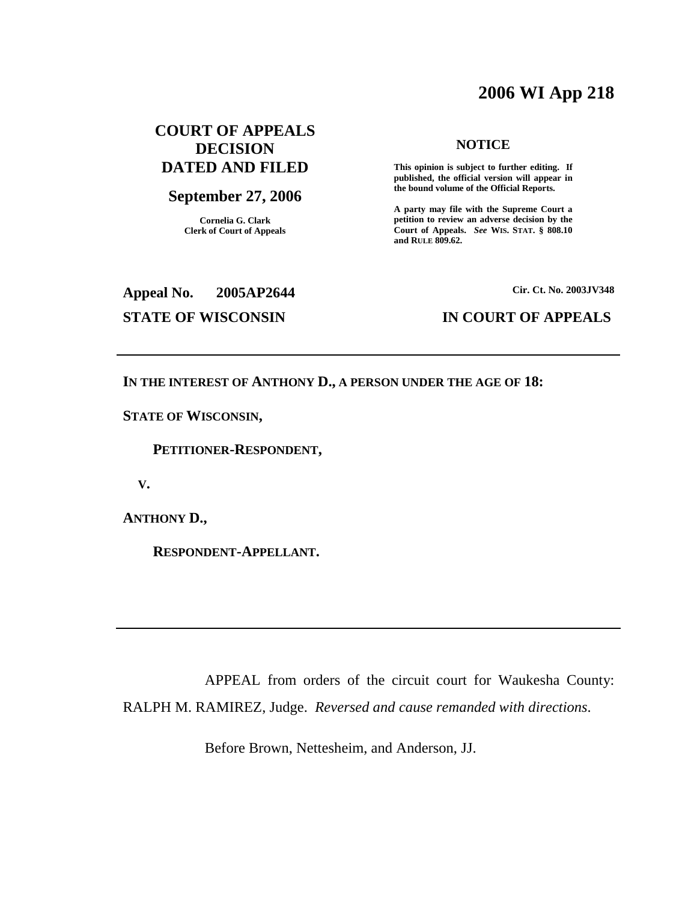# **2006 WI App 218**

## **COURT OF APPEALS DECISION DATED AND FILED**

#### **September 27, 2006**

**Cornelia G. Clark Clerk of Court of Appeals**

#### **NOTICE**

**This opinion is subject to further editing. If published, the official version will appear in the bound volume of the Official Reports.**

**A party may file with the Supreme Court a petition to review an adverse decision by the Court of Appeals.** *See* **WIS. STAT. § 808.10 and RULE 809.62.**

#### **Appeal No. 2005AP2644**

**Cir. Ct. No. 2003JV348**

#### **STATE OF WISCONSIN IN COURT OF APPEALS**

**IN THE INTEREST OF ANTHONY D., A PERSON UNDER THE AGE OF 18:**

**STATE OF WISCONSIN,**

**PETITIONER-RESPONDENT,**

**V.**

**ANTHONY D.,**

**RESPONDENT-APPELLANT.**

APPEAL from orders of the circuit court for Waukesha County: RALPH M. RAMIREZ, Judge. *Reversed and cause remanded with directions*.

Before Brown, Nettesheim, and Anderson, JJ.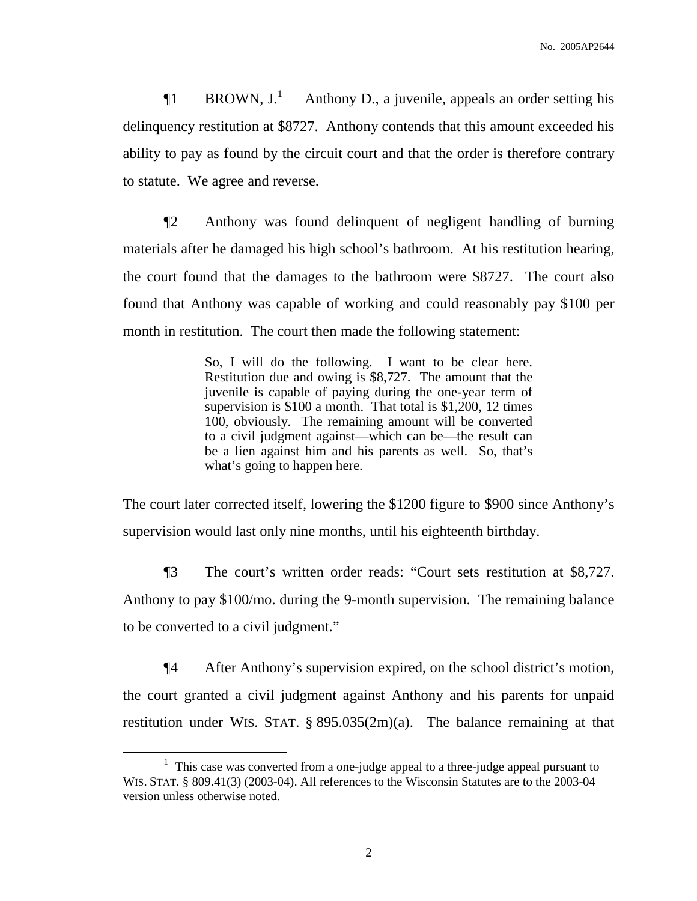$\P1$  BROWN,  $J^{\perp}$ Anthony D., a juvenile, appeals an order setting his delinquency restitution at \$8727. Anthony contends that this amount exceeded his ability to pay as found by the circuit court and that the order is therefore contrary to statute. We agree and reverse.

¶2 Anthony was found delinquent of negligent handling of burning materials after he damaged his high school's bathroom. At his restitution hearing, the court found that the damages to the bathroom were \$8727. The court also found that Anthony was capable of working and could reasonably pay \$100 per month in restitution. The court then made the following statement:

> So, I will do the following. I want to be clear here. Restitution due and owing is \$8,727. The amount that the juvenile is capable of paying during the one-year term of supervision is \$100 a month. That total is \$1,200, 12 times 100, obviously. The remaining amount will be converted to a civil judgment against—which can be—the result can be a lien against him and his parents as well. So, that's what's going to happen here.

The court later corrected itself, lowering the \$1200 figure to \$900 since Anthony's supervision would last only nine months, until his eighteenth birthday.

¶3 The court's written order reads: "Court sets restitution at \$8,727. Anthony to pay \$100/mo. during the 9-month supervision. The remaining balance to be converted to a civil judgment."

¶4 After Anthony's supervision expired, on the school district's motion, the court granted a civil judgment against Anthony and his parents for unpaid restitution under WIS. STAT. § 895.035(2m)(a). The balance remaining at that

<sup>&</sup>lt;sup>1</sup> This case was converted from a one-judge appeal to a three-judge appeal pursuant to WIS. STAT. § 809.41(3) (2003-04). All references to the Wisconsin Statutes are to the 2003-04 version unless otherwise noted.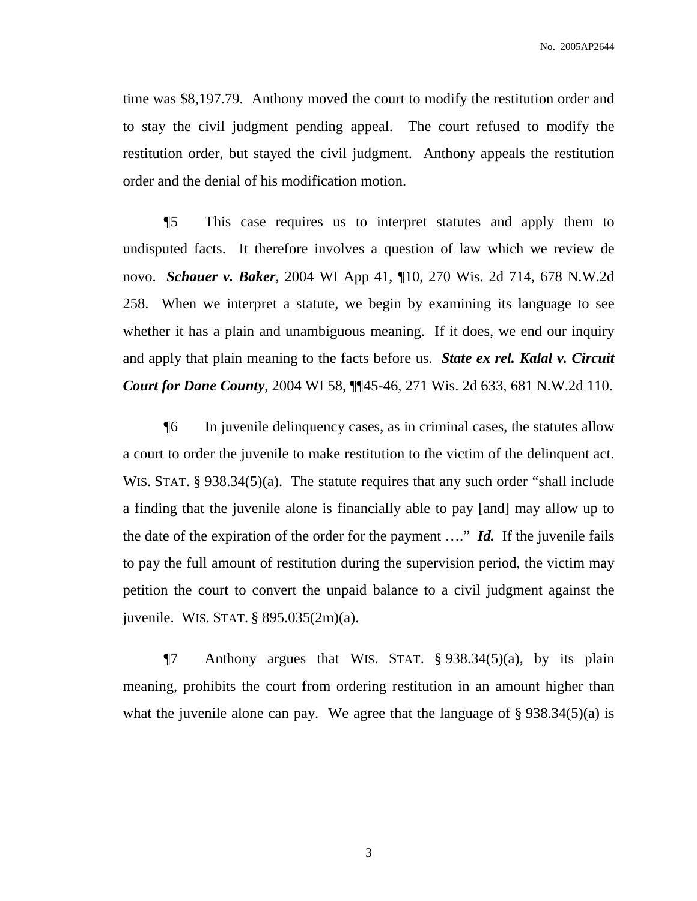time was \$8,197.79. Anthony moved the court to modify the restitution order and to stay the civil judgment pending appeal. The court refused to modify the restitution order, but stayed the civil judgment. Anthony appeals the restitution order and the denial of his modification motion.

¶5 This case requires us to interpret statutes and apply them to undisputed facts. It therefore involves a question of law which we review de novo. *Schauer v. Baker*, 2004 WI App 41, ¶10, 270 Wis. 2d 714, 678 N.W.2d 258. When we interpret a statute, we begin by examining its language to see whether it has a plain and unambiguous meaning. If it does, we end our inquiry and apply that plain meaning to the facts before us. *State ex rel. Kalal v. Circuit Court for Dane County*, 2004 WI 58, ¶¶45-46, 271 Wis. 2d 633, 681 N.W.2d 110.

¶6 In juvenile delinquency cases, as in criminal cases, the statutes allow a court to order the juvenile to make restitution to the victim of the delinquent act. WIS. STAT. § 938.34(5)(a). The statute requires that any such order "shall include a finding that the juvenile alone is financially able to pay [and] may allow up to the date of the expiration of the order for the payment …." *Id.* If the juvenile fails to pay the full amount of restitution during the supervision period, the victim may petition the court to convert the unpaid balance to a civil judgment against the juvenile. WIS. STAT. § 895.035(2m)(a).

 $\P$ 7 Anthony argues that WIS. STAT. § 938.34(5)(a), by its plain meaning, prohibits the court from ordering restitution in an amount higher than what the juvenile alone can pay. We agree that the language of  $\S 938.34(5)(a)$  is

3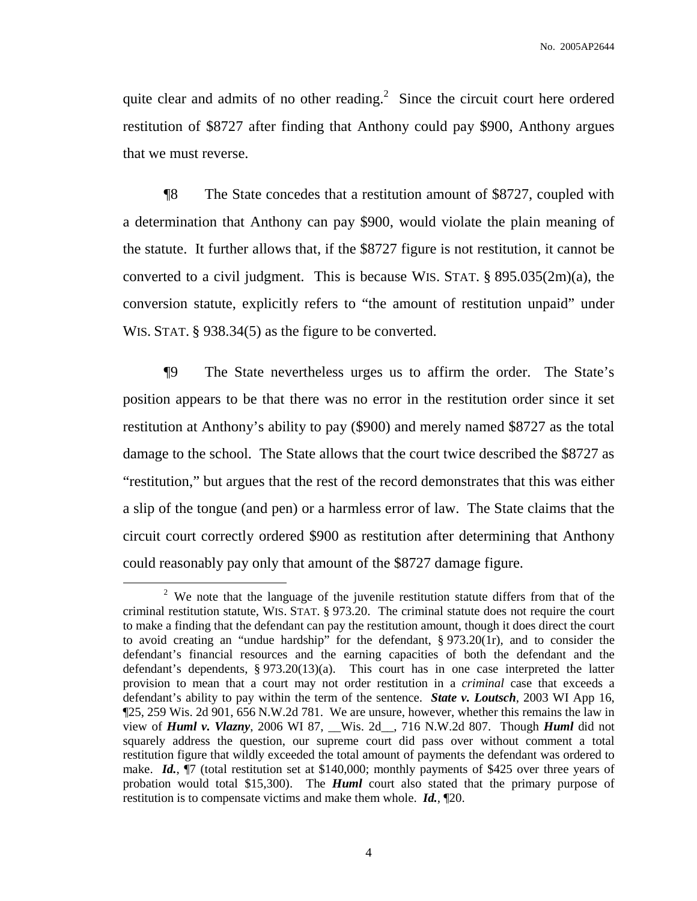quite clear and admits of no other reading. $2$  Since the circuit court here ordered restitution of \$8727 after finding that Anthony could pay \$900, Anthony argues that we must reverse.

¶8 The State concedes that a restitution amount of \$8727, coupled with a determination that Anthony can pay \$900, would violate the plain meaning of the statute. It further allows that, if the \$8727 figure is not restitution, it cannot be converted to a civil judgment. This is because WIS. STAT. § 895.035(2m)(a), the conversion statute, explicitly refers to "the amount of restitution unpaid" under WIS. STAT. § 938.34(5) as the figure to be converted.

¶9 The State nevertheless urges us to affirm the order. The State's position appears to be that there was no error in the restitution order since it set restitution at Anthony's ability to pay (\$900) and merely named \$8727 as the total damage to the school. The State allows that the court twice described the \$8727 as "restitution," but argues that the rest of the record demonstrates that this was either a slip of the tongue (and pen) or a harmless error of law. The State claims that the circuit court correctly ordered \$900 as restitution after determining that Anthony could reasonably pay only that amount of the \$8727 damage figure.

<sup>&</sup>lt;sup>2</sup> We note that the language of the juvenile restitution statute differs from that of the criminal restitution statute, WIS. STAT. § 973.20. The criminal statute does not require the court to make a finding that the defendant can pay the restitution amount, though it does direct the court to avoid creating an "undue hardship" for the defendant, § 973.20(1r), and to consider the defendant's financial resources and the earning capacities of both the defendant and the defendant's dependents, § 973.20(13)(a). This court has in one case interpreted the latter provision to mean that a court may not order restitution in a *criminal* case that exceeds a defendant's ability to pay within the term of the sentence. *State v. Loutsch*, 2003 WI App 16, ¶25, 259 Wis. 2d 901, 656 N.W.2d 781. We are unsure, however, whether this remains the law in view of *Huml v. Vlazny*, 2006 WI 87, \_\_Wis. 2d\_\_, 716 N.W.2d 807. Though *Huml* did not squarely address the question, our supreme court did pass over without comment a total restitution figure that wildly exceeded the total amount of payments the defendant was ordered to make. *Id.*,  $\P$ 7 (total restitution set at \$140,000; monthly payments of \$425 over three years of probation would total \$15,300). The *Huml* court also stated that the primary purpose of restitution is to compensate victims and make them whole. *Id.*, ¶20.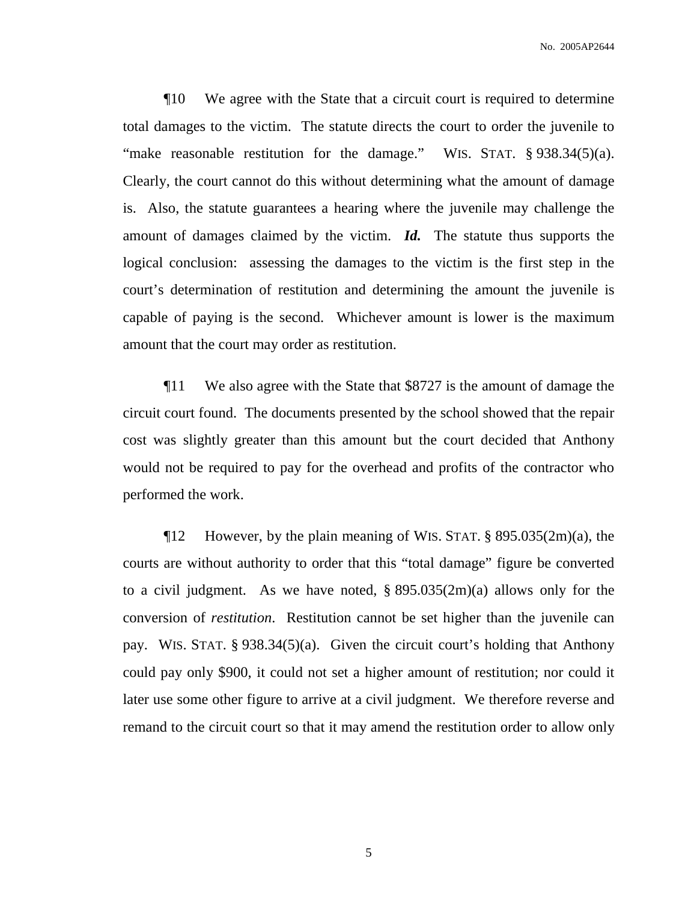¶10 We agree with the State that a circuit court is required to determine total damages to the victim. The statute directs the court to order the juvenile to "make reasonable restitution for the damage." WIS. STAT. § 938.34(5)(a). Clearly, the court cannot do this without determining what the amount of damage is. Also, the statute guarantees a hearing where the juvenile may challenge the amount of damages claimed by the victim. *Id.* The statute thus supports the logical conclusion: assessing the damages to the victim is the first step in the court's determination of restitution and determining the amount the juvenile is capable of paying is the second. Whichever amount is lower is the maximum amount that the court may order as restitution.

¶11 We also agree with the State that \$8727 is the amount of damage the circuit court found. The documents presented by the school showed that the repair cost was slightly greater than this amount but the court decided that Anthony would not be required to pay for the overhead and profits of the contractor who performed the work.

¶12 However, by the plain meaning of WIS. STAT. § 895.035(2m)(a), the courts are without authority to order that this "total damage" figure be converted to a civil judgment. As we have noted, § 895.035(2m)(a) allows only for the conversion of *restitution*. Restitution cannot be set higher than the juvenile can pay. WIS. STAT. § 938.34(5)(a). Given the circuit court's holding that Anthony could pay only \$900, it could not set a higher amount of restitution; nor could it later use some other figure to arrive at a civil judgment. We therefore reverse and remand to the circuit court so that it may amend the restitution order to allow only

5